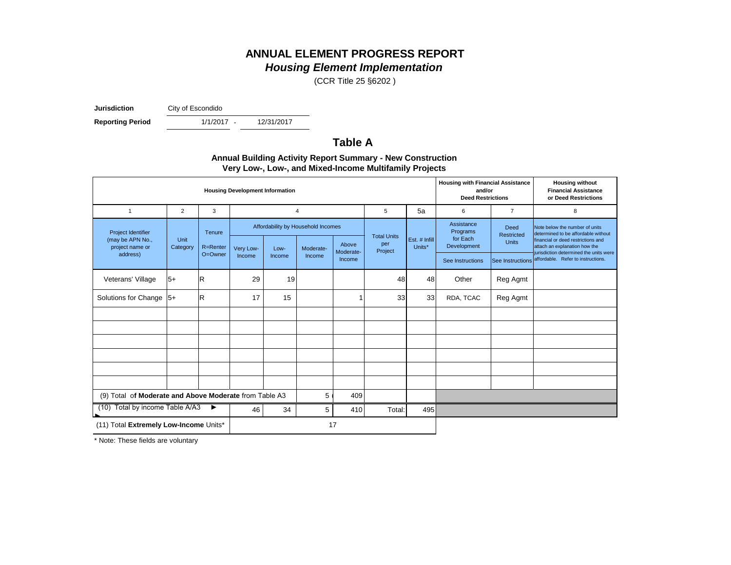## **ANNUAL ELEMENT PROGRESS REPORT** *Housing Element Implementation*

(CCR Title 25 §6202 )

**Jurisdiction** City of Escondido

**Reporting Period** 

1/1/2017 -

12/31/2017

#### **Table A**

| $\mathbf{v}$ , $\mathbf{v}$ , $\mathbf{v}$ , $\mathbf{v}$ , $\mathbf{v}$ , $\mathbf{v}$ , $\mathbf{v}$ , $\mathbf{v}$ , $\mathbf{v}$ , $\mathbf{v}$ , $\mathbf{v}$ , $\mathbf{v}$ , $\mathbf{v}$ , $\mathbf{v}$ , $\mathbf{v}$ , $\mathbf{v}$ , $\mathbf{v}$ , $\mathbf{v}$ , $\mathbf{v}$ , $\mathbf{v}$ , $\mathbf{v}$ , $\mathbf{v}$ , |                                        |              |           |        |                                    |                    |                    |                         |                                                                                |                    |                                                                                                               |
|-------------------------------------------------------------------------------------------------------------------------------------------------------------------------------------------------------------------------------------------------------------------------------------------------------------------------------------------|----------------------------------------|--------------|-----------|--------|------------------------------------|--------------------|--------------------|-------------------------|--------------------------------------------------------------------------------|--------------------|---------------------------------------------------------------------------------------------------------------|
|                                                                                                                                                                                                                                                                                                                                           | <b>Housing Development Information</b> |              |           |        |                                    |                    |                    |                         | <b>Housing with Financial Assistance</b><br>and/or<br><b>Deed Restrictions</b> |                    | <b>Housing without</b><br><b>Financial Assistance</b><br>or Deed Restrictions                                 |
| $\mathbf{1}$                                                                                                                                                                                                                                                                                                                              | $\overline{2}$                         | 3            |           |        | $\overline{4}$                     |                    | 5                  | 5a                      | 6                                                                              | $\overline{7}$     | 8                                                                                                             |
| Project Identifier                                                                                                                                                                                                                                                                                                                        |                                        | Tenure       |           |        | Affordability by Household Incomes |                    | <b>Total Units</b> |                         | Assistance<br>Programs<br>for Each                                             | Deed<br>Restricted | Note below the number of units<br>determined to be affordable without                                         |
| (may be APN No.,<br>project name or                                                                                                                                                                                                                                                                                                       | Unit<br>Category                       | R=Renter     | Very Low- | Low-   | Moderate-                          | Above<br>Moderate- | per<br>Project     | Est. # Infill<br>Units* | Development                                                                    | <b>Units</b>       | financial or deed restrictions and<br>attach an explanation how the<br>jurisdiction determined the units were |
| address)                                                                                                                                                                                                                                                                                                                                  |                                        | O=Owner      | Income    | Income | Income                             | Income             |                    |                         | See Instructions                                                               |                    | See Instructions affordable. Refer to instructions.                                                           |
| Veterans' Village                                                                                                                                                                                                                                                                                                                         | $5+$                                   | R            | 29        | 19     |                                    |                    | 48                 | 48                      | Other                                                                          | Reg Agmt           |                                                                                                               |
| Solutions for Change $ 5+$                                                                                                                                                                                                                                                                                                                |                                        | $\mathsf{R}$ | 17        | 15     |                                    |                    | 33                 | 33                      | RDA, TCAC                                                                      | Reg Agmt           |                                                                                                               |
|                                                                                                                                                                                                                                                                                                                                           |                                        |              |           |        |                                    |                    |                    |                         |                                                                                |                    |                                                                                                               |
|                                                                                                                                                                                                                                                                                                                                           |                                        |              |           |        |                                    |                    |                    |                         |                                                                                |                    |                                                                                                               |
|                                                                                                                                                                                                                                                                                                                                           |                                        |              |           |        |                                    |                    |                    |                         |                                                                                |                    |                                                                                                               |
|                                                                                                                                                                                                                                                                                                                                           |                                        |              |           |        |                                    |                    |                    |                         |                                                                                |                    |                                                                                                               |
|                                                                                                                                                                                                                                                                                                                                           |                                        |              |           |        |                                    |                    |                    |                         |                                                                                |                    |                                                                                                               |
|                                                                                                                                                                                                                                                                                                                                           |                                        |              |           |        |                                    |                    |                    |                         |                                                                                |                    |                                                                                                               |
| 5<br>(9) Total of Moderate and Above Moderate from Table A3<br>409                                                                                                                                                                                                                                                                        |                                        |              |           |        |                                    |                    |                    |                         |                                                                                |                    |                                                                                                               |
| Total by income Table A/A3<br>(10)<br>$\blacktriangleright$                                                                                                                                                                                                                                                                               |                                        |              | 46        | 34     | 5                                  | 410                | Total:             | 495                     |                                                                                |                    |                                                                                                               |
| (11) Total Extremely Low-Income Units*                                                                                                                                                                                                                                                                                                    |                                        |              |           |        |                                    | 17                 |                    |                         |                                                                                |                    |                                                                                                               |

**Annual Building Activity Report Summary - New Construction Very Low-, Low-, and Mixed-Income Multifamily Projects**

\* Note: These fields are voluntary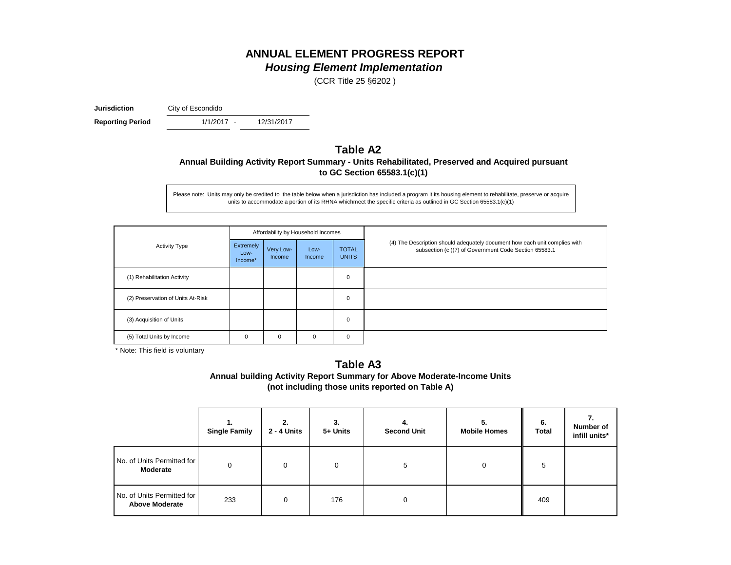## **ANNUAL ELEMENT PROGRESS REPORT** *Housing Element Implementation*

(CCR Title 25 §6202 )

**Jurisdiction** City of Escondido

1/1/2017 -**Reporting Period** 1/1/2017 - 12/31/2017

# **Table A2**

**Annual Building Activity Report Summary - Units Rehabilitated, Preserved and Acquired pursuant to GC Section 65583.1(c)(1)**

Please note: Units may only be credited to the table below when a jurisdiction has included a program it its housing element to rehabilitate, preserve or acquire units to accommodate a portion of its RHNA whichmeet the specific criteria as outlined in GC Section 65583.1(c)(1)

|                                   |                              |                     | Affordability by Household Incomes |                              |                                                                                                                                    |  |  |
|-----------------------------------|------------------------------|---------------------|------------------------------------|------------------------------|------------------------------------------------------------------------------------------------------------------------------------|--|--|
| <b>Activity Type</b>              | Extremely<br>Low-<br>Income* | Very Low-<br>Income | Low-<br>Income                     | <b>TOTAL</b><br><b>UNITS</b> | (4) The Description should adequately document how each unit complies with<br>subsection (c)(7) of Government Code Section 65583.1 |  |  |
| (1) Rehabilitation Activity       |                              |                     |                                    | $\mathbf 0$                  |                                                                                                                                    |  |  |
| (2) Preservation of Units At-Risk |                              |                     |                                    | 0                            |                                                                                                                                    |  |  |
| (3) Acquisition of Units          |                              |                     |                                    | 0                            |                                                                                                                                    |  |  |
| (5) Total Units by Income         | 0                            | 0                   | 0                                  | 0                            |                                                                                                                                    |  |  |

\* Note: This field is voluntary

#### **Table A3 Annual building Activity Report Summary for Above Moderate-Income Units (not including those units reported on Table A)**

|                                                     | 1.<br><b>Single Family</b> | 2.<br><b>2 - 4 Units</b> | 3.<br>5+ Units | 4.<br><b>Second Unit</b> | 5.<br><b>Mobile Homes</b> | 6.<br><b>Total</b> | 7.<br>Number of<br>infill units* |
|-----------------------------------------------------|----------------------------|--------------------------|----------------|--------------------------|---------------------------|--------------------|----------------------------------|
| No. of Units Permitted for<br><b>Moderate</b>       | $\Omega$                   | $\Omega$                 | $\Omega$       | 5                        | 0                         | 5                  |                                  |
| No. of Units Permitted for<br><b>Above Moderate</b> | 233                        | 0                        | 176            |                          |                           | 409                |                                  |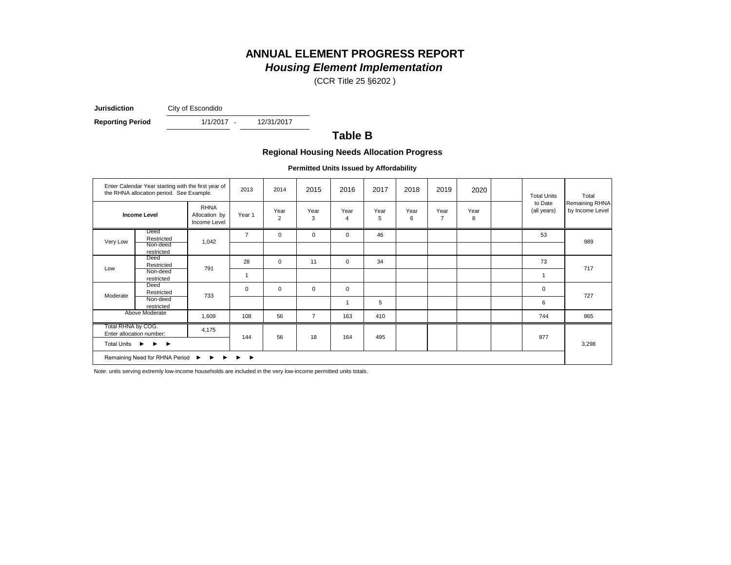## **ANNUAL ELEMENT PROGRESS REPORT** *Housing Element Implementation*

(CCR Title 25 §6202 )

**Jurisdiction** City of Escondido

**Reporting Period** 1/1/2017 - 12/31/2017

1/1/2017 -

#### **Table B**

#### **Regional Housing Needs Allocation Progress**

**Permitted Units Issued by Affordability**

|                                         | Enter Calendar Year starting with the first year of<br>the RHNA allocation period. See Example.                                 |                                              | 2013           | 2014                   | 2015           | 2016                   | 2017      | 2018      | 2019                   | 2020      | <b>Total Units</b>      | Total                                    |
|-----------------------------------------|---------------------------------------------------------------------------------------------------------------------------------|----------------------------------------------|----------------|------------------------|----------------|------------------------|-----------|-----------|------------------------|-----------|-------------------------|------------------------------------------|
|                                         | <b>Income Level</b>                                                                                                             | <b>RHNA</b><br>Allocation by<br>Income Level | Year 1         | Year<br>$\overline{2}$ | Year<br>3      | Year<br>$\overline{4}$ | Year<br>5 | Year<br>6 | Year<br>$\overline{7}$ | Year<br>8 | to Date<br>(all years)  | <b>Remaining RHNA</b><br>by Income Level |
| Very Low                                | Deed<br>Restricted<br>Non-deed                                                                                                  | 1,042                                        | $\overline{7}$ | $\mathbf 0$            | $\mathbf 0$    | $\mathbf 0$            | 46        |           |                        |           | 53                      | 989                                      |
| Low                                     | restricted<br>Deed<br>Restricted                                                                                                | 791                                          | 28             | $\mathbf 0$            | 11             | $\mathbf 0$            | 34        |           |                        |           | 73                      | 717                                      |
|                                         | Non-deed<br>restricted                                                                                                          |                                              | $\mathbf 1$    |                        |                |                        |           |           |                        |           | $\overline{\mathbf{1}}$ |                                          |
| Moderate                                | Deed<br>Restricted                                                                                                              | 733                                          | $\mathbf 0$    | $\mathbf 0$            | 0              | $\mathbf 0$            |           |           |                        |           | $\mathbf 0$             | 727                                      |
|                                         | Non-deed<br>restricted                                                                                                          |                                              |                |                        |                | $\mathbf{1}$           | 5         |           |                        |           | 6                       |                                          |
|                                         | Above Moderate                                                                                                                  | 1,609                                        | 108            | 56                     | $\overline{7}$ | 163                    | 410       |           |                        |           | 744                     | 865                                      |
| Total RHNA by COG.                      | Enter allocation number:                                                                                                        | 4,175                                        | 144            | 56                     | 18             | 164                    | 495       |           |                        |           | 877                     |                                          |
| Total Units $\rightarrow$ $\rightarrow$ |                                                                                                                                 |                                              |                |                        |                |                        |           |           |                        |           | 3,298                   |                                          |
|                                         | Remaining Need for RHNA Period<br>$\blacktriangleright$<br>▶<br>$\blacktriangleright$<br>$\rightarrow$<br>$\blacktriangleright$ |                                              |                |                        |                |                        |           |           |                        |           |                         |                                          |

Note: units serving extremly low-income households are included in the very low-income permitted units totals.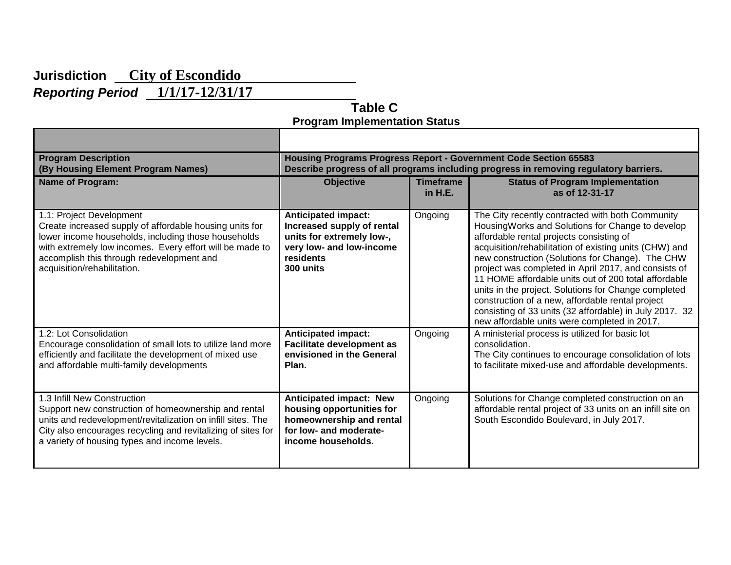# **Jurisdiction City of Escondido**

*Reporting Period* **1/1/17-12/31/17** 

 **Table C Program Implementation Status**

| <b>Program Description</b><br>(By Housing Element Program Names)                                                                                                                                                                                                                   | Housing Programs Progress Report - Government Code Section 65583<br>Describe progress of all programs including progress in removing regulatory barriers. |                             |                                                                                                                                                                                                                                                                                                                                                                                                                                                                                                                                                                                                        |  |  |
|------------------------------------------------------------------------------------------------------------------------------------------------------------------------------------------------------------------------------------------------------------------------------------|-----------------------------------------------------------------------------------------------------------------------------------------------------------|-----------------------------|--------------------------------------------------------------------------------------------------------------------------------------------------------------------------------------------------------------------------------------------------------------------------------------------------------------------------------------------------------------------------------------------------------------------------------------------------------------------------------------------------------------------------------------------------------------------------------------------------------|--|--|
| <b>Name of Program:</b>                                                                                                                                                                                                                                                            | <b>Objective</b>                                                                                                                                          | <b>Timeframe</b><br>in H.E. | <b>Status of Program Implementation</b><br>as of 12-31-17                                                                                                                                                                                                                                                                                                                                                                                                                                                                                                                                              |  |  |
| 1.1: Project Development<br>Create increased supply of affordable housing units for<br>lower income households, including those households<br>with extremely low incomes. Every effort will be made to<br>accomplish this through redevelopment and<br>acquisition/rehabilitation. | <b>Anticipated impact:</b><br>Increased supply of rental<br>units for extremely low-,<br>very low- and low-income<br>residents<br>300 units               | Ongoing                     | The City recently contracted with both Community<br>Housing Works and Solutions for Change to develop<br>affordable rental projects consisting of<br>acquisition/rehabilitation of existing units (CHW) and<br>new construction (Solutions for Change). The CHW<br>project was completed in April 2017, and consists of<br>11 HOME affordable units out of 200 total affordable<br>units in the project. Solutions for Change completed<br>construction of a new, affordable rental project<br>consisting of 33 units (32 affordable) in July 2017. 32<br>new affordable units were completed in 2017. |  |  |
| 1.2: Lot Consolidation<br>Encourage consolidation of small lots to utilize land more<br>efficiently and facilitate the development of mixed use<br>and affordable multi-family developments                                                                                        | <b>Anticipated impact:</b><br><b>Facilitate development as</b><br>envisioned in the General<br>Plan.                                                      | Ongoing                     | A ministerial process is utilized for basic lot<br>consolidation.<br>The City continues to encourage consolidation of lots<br>to facilitate mixed-use and affordable developments.                                                                                                                                                                                                                                                                                                                                                                                                                     |  |  |
| 1.3 Infill New Construction<br>Support new construction of homeownership and rental<br>units and redevelopment/revitalization on infill sites. The<br>City also encourages recycling and revitalizing of sites for<br>a variety of housing types and income levels.                | <b>Anticipated impact: New</b><br>housing opportunities for<br>homeownership and rental<br>for low- and moderate-<br>income households.                   | Ongoing                     | Solutions for Change completed construction on an<br>affordable rental project of 33 units on an infill site on<br>South Escondido Boulevard, in July 2017.                                                                                                                                                                                                                                                                                                                                                                                                                                            |  |  |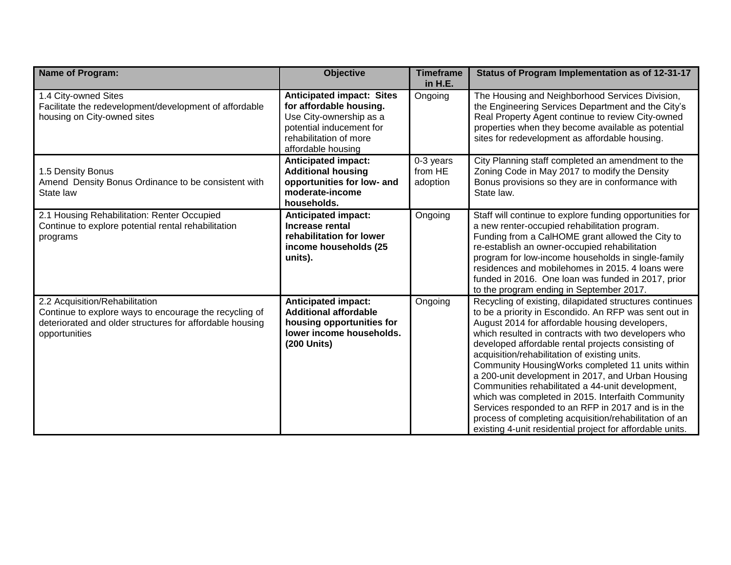| <b>Name of Program:</b>                                                                                                                                               | <b>Objective</b>                                                                                                                                                   | <b>Timeframe</b><br>in H.E.      | Status of Program Implementation as of 12-31-17                                                                                                                                                                                                                                                                                                                                                                                                                                                                                                                                                                                                                                                                                 |
|-----------------------------------------------------------------------------------------------------------------------------------------------------------------------|--------------------------------------------------------------------------------------------------------------------------------------------------------------------|----------------------------------|---------------------------------------------------------------------------------------------------------------------------------------------------------------------------------------------------------------------------------------------------------------------------------------------------------------------------------------------------------------------------------------------------------------------------------------------------------------------------------------------------------------------------------------------------------------------------------------------------------------------------------------------------------------------------------------------------------------------------------|
| 1.4 City-owned Sites<br>Facilitate the redevelopment/development of affordable<br>housing on City-owned sites                                                         | <b>Anticipated impact: Sites</b><br>for affordable housing.<br>Use City-ownership as a<br>potential inducement for<br>rehabilitation of more<br>affordable housing | Ongoing                          | The Housing and Neighborhood Services Division,<br>the Engineering Services Department and the City's<br>Real Property Agent continue to review City-owned<br>properties when they become available as potential<br>sites for redevelopment as affordable housing.                                                                                                                                                                                                                                                                                                                                                                                                                                                              |
| 1.5 Density Bonus<br>Amend Density Bonus Ordinance to be consistent with<br>State law                                                                                 | <b>Anticipated impact:</b><br><b>Additional housing</b><br>opportunities for low- and<br>moderate-income<br>households.                                            | 0-3 years<br>from HE<br>adoption | City Planning staff completed an amendment to the<br>Zoning Code in May 2017 to modify the Density<br>Bonus provisions so they are in conformance with<br>State law.                                                                                                                                                                                                                                                                                                                                                                                                                                                                                                                                                            |
| 2.1 Housing Rehabilitation: Renter Occupied<br>Continue to explore potential rental rehabilitation<br>programs                                                        | <b>Anticipated impact:</b><br><b>Increase rental</b><br>rehabilitation for lower<br>income households (25<br>units).                                               | Ongoing                          | Staff will continue to explore funding opportunities for<br>a new renter-occupied rehabilitation program.<br>Funding from a CalHOME grant allowed the City to<br>re-establish an owner-occupied rehabilitation<br>program for low-income households in single-family<br>residences and mobilehomes in 2015. 4 loans were<br>funded in 2016. One loan was funded in 2017, prior<br>to the program ending in September 2017.                                                                                                                                                                                                                                                                                                      |
| 2.2 Acquisition/Rehabilitation<br>Continue to explore ways to encourage the recycling of<br>deteriorated and older structures for affordable housing<br>opportunities | <b>Anticipated impact:</b><br><b>Additional affordable</b><br>housing opportunities for<br>lower income households.<br>(200 Units)                                 | Ongoing                          | Recycling of existing, dilapidated structures continues<br>to be a priority in Escondido. An RFP was sent out in<br>August 2014 for affordable housing developers,<br>which resulted in contracts with two developers who<br>developed affordable rental projects consisting of<br>acquisition/rehabilitation of existing units.<br>Community HousingWorks completed 11 units within<br>a 200-unit development in 2017, and Urban Housing<br>Communities rehabilitated a 44-unit development,<br>which was completed in 2015. Interfaith Community<br>Services responded to an RFP in 2017 and is in the<br>process of completing acquisition/rehabilitation of an<br>existing 4-unit residential project for affordable units. |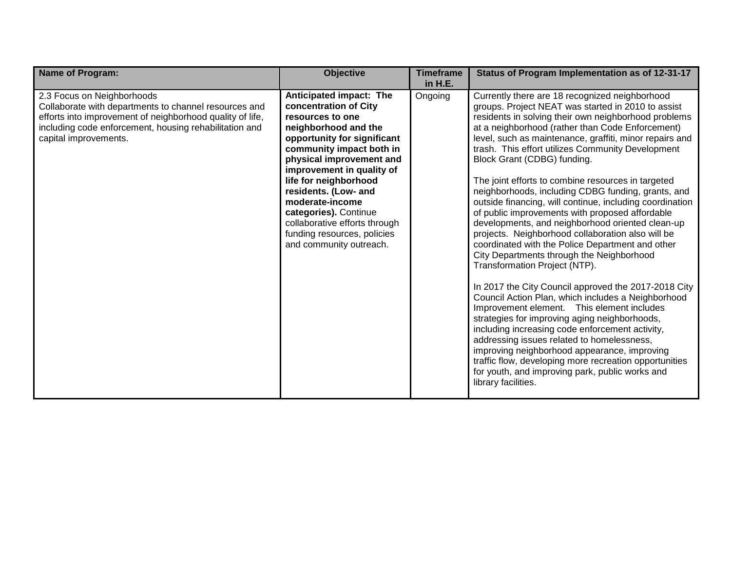| <b>Name of Program:</b>                                                                                                                                                                                                             | <b>Objective</b>                                                                                                                                                                                                                                                                                                                                                                                         | <b>Timeframe</b><br>in H.E. | Status of Program Implementation as of 12-31-17                                                                                                                                                                                                                                                                                                                                                                                                                                                                                                                                                                                                                                                                                                                                                                                                                                                                                                                                                                                                                                                                                                                                                                                                                                                                                         |
|-------------------------------------------------------------------------------------------------------------------------------------------------------------------------------------------------------------------------------------|----------------------------------------------------------------------------------------------------------------------------------------------------------------------------------------------------------------------------------------------------------------------------------------------------------------------------------------------------------------------------------------------------------|-----------------------------|-----------------------------------------------------------------------------------------------------------------------------------------------------------------------------------------------------------------------------------------------------------------------------------------------------------------------------------------------------------------------------------------------------------------------------------------------------------------------------------------------------------------------------------------------------------------------------------------------------------------------------------------------------------------------------------------------------------------------------------------------------------------------------------------------------------------------------------------------------------------------------------------------------------------------------------------------------------------------------------------------------------------------------------------------------------------------------------------------------------------------------------------------------------------------------------------------------------------------------------------------------------------------------------------------------------------------------------------|
| 2.3 Focus on Neighborhoods<br>Collaborate with departments to channel resources and<br>efforts into improvement of neighborhood quality of life,<br>including code enforcement, housing rehabilitation and<br>capital improvements. | Anticipated impact: The<br>concentration of City<br>resources to one<br>neighborhood and the<br>opportunity for significant<br>community impact both in<br>physical improvement and<br>improvement in quality of<br>life for neighborhood<br>residents. (Low- and<br>moderate-income<br>categories). Continue<br>collaborative efforts through<br>funding resources, policies<br>and community outreach. | Ongoing                     | Currently there are 18 recognized neighborhood<br>groups. Project NEAT was started in 2010 to assist<br>residents in solving their own neighborhood problems<br>at a neighborhood (rather than Code Enforcement)<br>level, such as maintenance, graffiti, minor repairs and<br>trash. This effort utilizes Community Development<br>Block Grant (CDBG) funding.<br>The joint efforts to combine resources in targeted<br>neighborhoods, including CDBG funding, grants, and<br>outside financing, will continue, including coordination<br>of public improvements with proposed affordable<br>developments, and neighborhood oriented clean-up<br>projects. Neighborhood collaboration also will be<br>coordinated with the Police Department and other<br>City Departments through the Neighborhood<br>Transformation Project (NTP).<br>In 2017 the City Council approved the 2017-2018 City<br>Council Action Plan, which includes a Neighborhood<br>Improvement element. This element includes<br>strategies for improving aging neighborhoods,<br>including increasing code enforcement activity,<br>addressing issues related to homelessness,<br>improving neighborhood appearance, improving<br>traffic flow, developing more recreation opportunities<br>for youth, and improving park, public works and<br>library facilities. |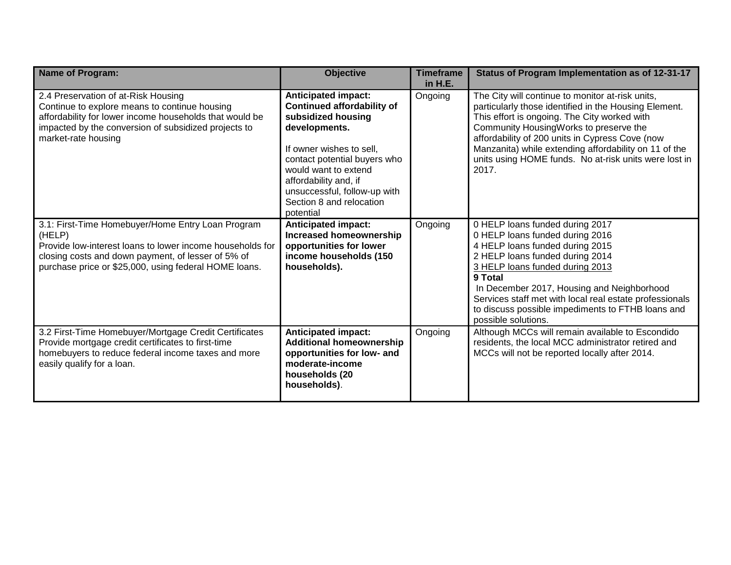| <b>Name of Program:</b>                                                                                                                                                                                                                 | <b>Objective</b>                                                                                                                                                                                                                                                                             | <b>Timeframe</b><br>in H.E. | Status of Program Implementation as of 12-31-17                                                                                                                                                                                                                                                                                                                                   |
|-----------------------------------------------------------------------------------------------------------------------------------------------------------------------------------------------------------------------------------------|----------------------------------------------------------------------------------------------------------------------------------------------------------------------------------------------------------------------------------------------------------------------------------------------|-----------------------------|-----------------------------------------------------------------------------------------------------------------------------------------------------------------------------------------------------------------------------------------------------------------------------------------------------------------------------------------------------------------------------------|
| 2.4 Preservation of at-Risk Housing<br>Continue to explore means to continue housing<br>affordability for lower income households that would be<br>impacted by the conversion of subsidized projects to<br>market-rate housing          | <b>Anticipated impact:</b><br><b>Continued affordability of</b><br>subsidized housing<br>developments.<br>If owner wishes to sell,<br>contact potential buyers who<br>would want to extend<br>affordability and, if<br>unsuccessful, follow-up with<br>Section 8 and relocation<br>potential | Ongoing                     | The City will continue to monitor at-risk units,<br>particularly those identified in the Housing Element.<br>This effort is ongoing. The City worked with<br>Community HousingWorks to preserve the<br>affordability of 200 units in Cypress Cove (now<br>Manzanita) while extending affordability on 11 of the<br>units using HOME funds. No at-risk units were lost in<br>2017. |
| 3.1: First-Time Homebuyer/Home Entry Loan Program<br>(HELP)<br>Provide low-interest loans to lower income households for<br>closing costs and down payment, of lesser of 5% of<br>purchase price or \$25,000, using federal HOME loans. | <b>Anticipated impact:</b><br><b>Increased homeownership</b><br>opportunities for lower<br>income households (150<br>households).                                                                                                                                                            | Ongoing                     | 0 HELP loans funded during 2017<br>0 HELP loans funded during 2016<br>4 HELP loans funded during 2015<br>2 HELP loans funded during 2014<br>3 HELP loans funded during 2013<br>9 Total<br>In December 2017, Housing and Neighborhood<br>Services staff met with local real estate professionals<br>to discuss possible impediments to FTHB loans and<br>possible solutions.       |
| 3.2 First-Time Homebuyer/Mortgage Credit Certificates<br>Provide mortgage credit certificates to first-time<br>homebuyers to reduce federal income taxes and more<br>easily qualify for a loan.                                         | <b>Anticipated impact:</b><br><b>Additional homeownership</b><br>opportunities for low- and<br>moderate-income<br>households (20<br>households).                                                                                                                                             | Ongoing                     | Although MCCs will remain available to Escondido<br>residents, the local MCC administrator retired and<br>MCCs will not be reported locally after 2014.                                                                                                                                                                                                                           |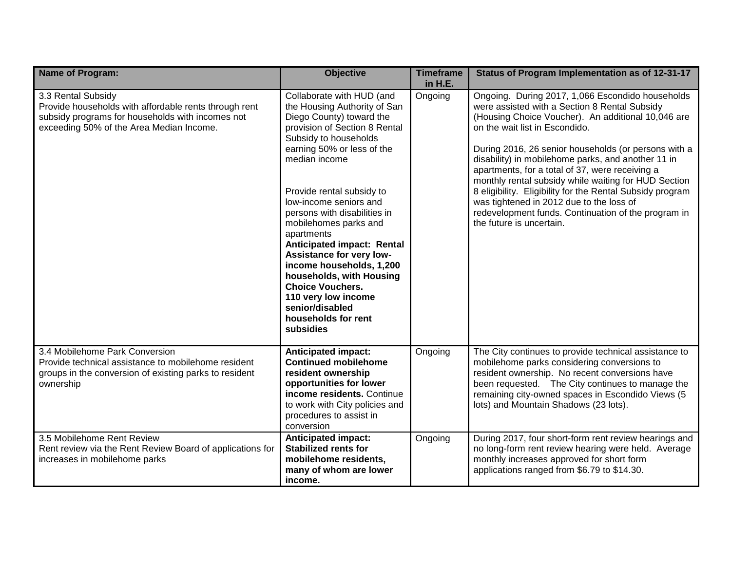| <b>Name of Program:</b>                                                                                                                                                     | <b>Objective</b>                                                                                                                                                                                                                                                                                                                                                                                                                                                                                                                                        | <b>Timeframe</b><br>in H.E. | Status of Program Implementation as of 12-31-17                                                                                                                                                                                                                                                                                                                                                                                                                                                                                                                                                                |
|-----------------------------------------------------------------------------------------------------------------------------------------------------------------------------|---------------------------------------------------------------------------------------------------------------------------------------------------------------------------------------------------------------------------------------------------------------------------------------------------------------------------------------------------------------------------------------------------------------------------------------------------------------------------------------------------------------------------------------------------------|-----------------------------|----------------------------------------------------------------------------------------------------------------------------------------------------------------------------------------------------------------------------------------------------------------------------------------------------------------------------------------------------------------------------------------------------------------------------------------------------------------------------------------------------------------------------------------------------------------------------------------------------------------|
| 3.3 Rental Subsidy<br>Provide households with affordable rents through rent<br>subsidy programs for households with incomes not<br>exceeding 50% of the Area Median Income. | Collaborate with HUD (and<br>the Housing Authority of San<br>Diego County) toward the<br>provision of Section 8 Rental<br>Subsidy to households<br>earning 50% or less of the<br>median income<br>Provide rental subsidy to<br>low-income seniors and<br>persons with disabilities in<br>mobilehomes parks and<br>apartments<br>Anticipated impact: Rental<br>Assistance for very low-<br>income households, 1,200<br>households, with Housing<br><b>Choice Vouchers.</b><br>110 very low income<br>senior/disabled<br>households for rent<br>subsidies | Ongoing                     | Ongoing. During 2017, 1,066 Escondido households<br>were assisted with a Section 8 Rental Subsidy<br>(Housing Choice Voucher). An additional 10,046 are<br>on the wait list in Escondido.<br>During 2016, 26 senior households (or persons with a<br>disability) in mobilehome parks, and another 11 in<br>apartments, for a total of 37, were receiving a<br>monthly rental subsidy while waiting for HUD Section<br>8 eligibility. Eligibility for the Rental Subsidy program<br>was tightened in 2012 due to the loss of<br>redevelopment funds. Continuation of the program in<br>the future is uncertain. |
| 3.4 Mobilehome Park Conversion<br>Provide technical assistance to mobilehome resident<br>groups in the conversion of existing parks to resident<br>ownership                | <b>Anticipated impact:</b><br><b>Continued mobilehome</b><br>resident ownership<br>opportunities for lower<br>income residents. Continue<br>to work with City policies and<br>procedures to assist in<br>conversion                                                                                                                                                                                                                                                                                                                                     | Ongoing                     | The City continues to provide technical assistance to<br>mobilehome parks considering conversions to<br>resident ownership. No recent conversions have<br>been requested. The City continues to manage the<br>remaining city-owned spaces in Escondido Views (5<br>lots) and Mountain Shadows (23 lots).                                                                                                                                                                                                                                                                                                       |
| 3.5 Mobilehome Rent Review<br>Rent review via the Rent Review Board of applications for<br>increases in mobilehome parks                                                    | <b>Anticipated impact:</b><br><b>Stabilized rents for</b><br>mobilehome residents,<br>many of whom are lower<br>income.                                                                                                                                                                                                                                                                                                                                                                                                                                 | Ongoing                     | During 2017, four short-form rent review hearings and<br>no long-form rent review hearing were held. Average<br>monthly increases approved for short form<br>applications ranged from \$6.79 to \$14.30.                                                                                                                                                                                                                                                                                                                                                                                                       |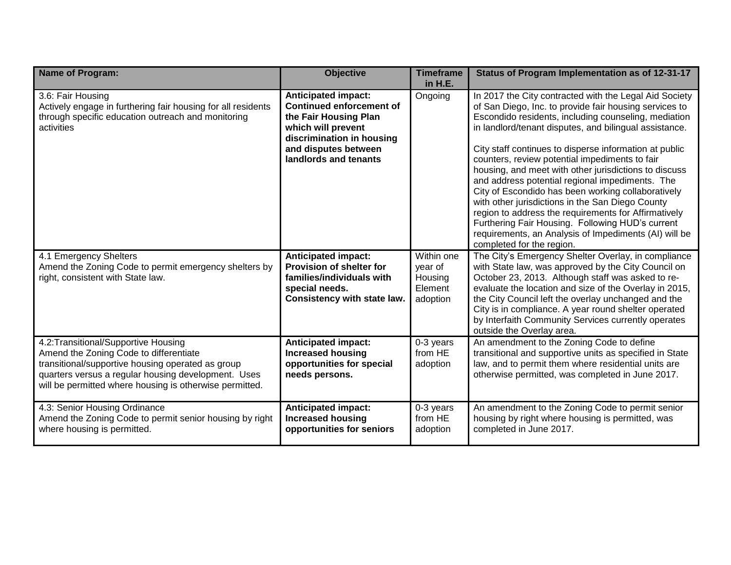| Name of Program:                                                                                                                                                                                                                                      | <b>Objective</b>                                                                                                                                                                           | <b>Timeframe</b><br>in H.E.                             | Status of Program Implementation as of 12-31-17                                                                                                                                                                                                                                                                                                                                                                                                                                                                                                                                                                                                                                                                                                                        |
|-------------------------------------------------------------------------------------------------------------------------------------------------------------------------------------------------------------------------------------------------------|--------------------------------------------------------------------------------------------------------------------------------------------------------------------------------------------|---------------------------------------------------------|------------------------------------------------------------------------------------------------------------------------------------------------------------------------------------------------------------------------------------------------------------------------------------------------------------------------------------------------------------------------------------------------------------------------------------------------------------------------------------------------------------------------------------------------------------------------------------------------------------------------------------------------------------------------------------------------------------------------------------------------------------------------|
| 3.6: Fair Housing<br>Actively engage in furthering fair housing for all residents<br>through specific education outreach and monitoring<br>activities                                                                                                 | <b>Anticipated impact:</b><br><b>Continued enforcement of</b><br>the Fair Housing Plan<br>which will prevent<br>discrimination in housing<br>and disputes between<br>landlords and tenants | Ongoing                                                 | In 2017 the City contracted with the Legal Aid Society<br>of San Diego, Inc. to provide fair housing services to<br>Escondido residents, including counseling, mediation<br>in landlord/tenant disputes, and bilingual assistance.<br>City staff continues to disperse information at public<br>counters, review potential impediments to fair<br>housing, and meet with other jurisdictions to discuss<br>and address potential regional impediments. The<br>City of Escondido has been working collaboratively<br>with other jurisdictions in the San Diego County<br>region to address the requirements for Affirmatively<br>Furthering Fair Housing. Following HUD's current<br>requirements, an Analysis of Impediments (AI) will be<br>completed for the region. |
| 4.1 Emergency Shelters<br>Amend the Zoning Code to permit emergency shelters by<br>right, consistent with State law.                                                                                                                                  | <b>Anticipated impact:</b><br>Provision of shelter for<br>families/individuals with<br>special needs.<br>Consistency with state law.                                                       | Within one<br>year of<br>Housing<br>Element<br>adoption | The City's Emergency Shelter Overlay, in compliance<br>with State law, was approved by the City Council on<br>October 23, 2013. Although staff was asked to re-<br>evaluate the location and size of the Overlay in 2015,<br>the City Council left the overlay unchanged and the<br>City is in compliance. A year round shelter operated<br>by Interfaith Community Services currently operates<br>outside the Overlay area.                                                                                                                                                                                                                                                                                                                                           |
| 4.2: Transitional/Supportive Housing<br>Amend the Zoning Code to differentiate<br>transitional/supportive housing operated as group<br>quarters versus a regular housing development. Uses<br>will be permitted where housing is otherwise permitted. | <b>Anticipated impact:</b><br><b>Increased housing</b><br>opportunities for special<br>needs persons.                                                                                      | 0-3 years<br>from HE<br>adoption                        | An amendment to the Zoning Code to define<br>transitional and supportive units as specified in State<br>law, and to permit them where residential units are<br>otherwise permitted, was completed in June 2017.                                                                                                                                                                                                                                                                                                                                                                                                                                                                                                                                                        |
| 4.3: Senior Housing Ordinance<br>Amend the Zoning Code to permit senior housing by right<br>where housing is permitted.                                                                                                                               | <b>Anticipated impact:</b><br><b>Increased housing</b><br>opportunities for seniors                                                                                                        | 0-3 years<br>from HE<br>adoption                        | An amendment to the Zoning Code to permit senior<br>housing by right where housing is permitted, was<br>completed in June 2017.                                                                                                                                                                                                                                                                                                                                                                                                                                                                                                                                                                                                                                        |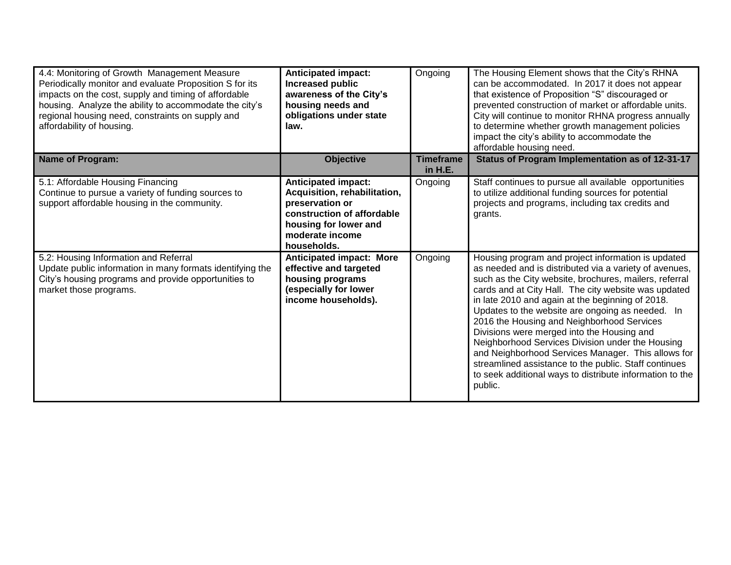| 4.4: Monitoring of Growth Management Measure<br>Periodically monitor and evaluate Proposition S for its<br>impacts on the cost, supply and timing of affordable<br>housing. Analyze the ability to accommodate the city's<br>regional housing need, constraints on supply and<br>affordability of housing. | <b>Anticipated impact:</b><br>Increased public<br>awareness of the City's<br>housing needs and<br>obligations under state<br>law.                                      | Ongoing                     | The Housing Element shows that the City's RHNA<br>can be accommodated. In 2017 it does not appear<br>that existence of Proposition "S" discouraged or<br>prevented construction of market or affordable units.<br>City will continue to monitor RHNA progress annually<br>to determine whether growth management policies<br>impact the city's ability to accommodate the<br>affordable housing need.                                                                                                                                                                                                                                                                        |
|------------------------------------------------------------------------------------------------------------------------------------------------------------------------------------------------------------------------------------------------------------------------------------------------------------|------------------------------------------------------------------------------------------------------------------------------------------------------------------------|-----------------------------|------------------------------------------------------------------------------------------------------------------------------------------------------------------------------------------------------------------------------------------------------------------------------------------------------------------------------------------------------------------------------------------------------------------------------------------------------------------------------------------------------------------------------------------------------------------------------------------------------------------------------------------------------------------------------|
| Name of Program:                                                                                                                                                                                                                                                                                           | <b>Objective</b>                                                                                                                                                       | <b>Timeframe</b><br>in H.E. | Status of Program Implementation as of 12-31-17                                                                                                                                                                                                                                                                                                                                                                                                                                                                                                                                                                                                                              |
| 5.1: Affordable Housing Financing<br>Continue to pursue a variety of funding sources to<br>support affordable housing in the community.                                                                                                                                                                    | <b>Anticipated impact:</b><br>Acquisition, rehabilitation,<br>preservation or<br>construction of affordable<br>housing for lower and<br>moderate income<br>households. | Ongoing                     | Staff continues to pursue all available opportunities<br>to utilize additional funding sources for potential<br>projects and programs, including tax credits and<br>grants.                                                                                                                                                                                                                                                                                                                                                                                                                                                                                                  |
| 5.2: Housing Information and Referral<br>Update public information in many formats identifying the<br>City's housing programs and provide opportunities to<br>market those programs.                                                                                                                       | <b>Anticipated impact: More</b><br>effective and targeted<br>housing programs<br>(especially for lower<br>income households).                                          | Ongoing                     | Housing program and project information is updated<br>as needed and is distributed via a variety of avenues,<br>such as the City website, brochures, mailers, referral<br>cards and at City Hall. The city website was updated<br>in late 2010 and again at the beginning of 2018.<br>Updates to the website are ongoing as needed. In<br>2016 the Housing and Neighborhood Services<br>Divisions were merged into the Housing and<br>Neighborhood Services Division under the Housing<br>and Neighborhood Services Manager. This allows for<br>streamlined assistance to the public. Staff continues<br>to seek additional ways to distribute information to the<br>public. |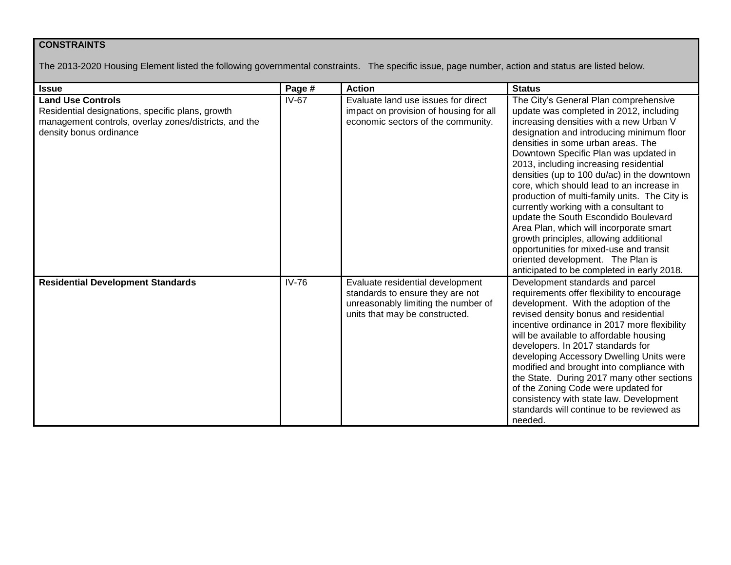#### **CONSTRAINTS**

The 2013-2020 Housing Element listed the following governmental constraints. The specific issue, page number, action and status are listed below.

| <b>Issue</b>                                                                                                                                                     | Page #  | <b>Action</b>                                                                                                                                 | <b>Status</b>                                                                                                                                                                                                                                                                                                                                                                                                                                                                                                                                                                                                                                                                                                                                       |
|------------------------------------------------------------------------------------------------------------------------------------------------------------------|---------|-----------------------------------------------------------------------------------------------------------------------------------------------|-----------------------------------------------------------------------------------------------------------------------------------------------------------------------------------------------------------------------------------------------------------------------------------------------------------------------------------------------------------------------------------------------------------------------------------------------------------------------------------------------------------------------------------------------------------------------------------------------------------------------------------------------------------------------------------------------------------------------------------------------------|
| <b>Land Use Controls</b><br>Residential designations, specific plans, growth<br>management controls, overlay zones/districts, and the<br>density bonus ordinance | $IV-67$ | Evaluate land use issues for direct<br>impact on provision of housing for all<br>economic sectors of the community.                           | The City's General Plan comprehensive<br>update was completed in 2012, including<br>increasing densities with a new Urban V<br>designation and introducing minimum floor<br>densities in some urban areas. The<br>Downtown Specific Plan was updated in<br>2013, including increasing residential<br>densities (up to 100 du/ac) in the downtown<br>core, which should lead to an increase in<br>production of multi-family units. The City is<br>currently working with a consultant to<br>update the South Escondido Boulevard<br>Area Plan, which will incorporate smart<br>growth principles, allowing additional<br>opportunities for mixed-use and transit<br>oriented development. The Plan is<br>anticipated to be completed in early 2018. |
| <b>Residential Development Standards</b>                                                                                                                         | $IV-76$ | Evaluate residential development<br>standards to ensure they are not<br>unreasonably limiting the number of<br>units that may be constructed. | Development standards and parcel<br>requirements offer flexibility to encourage<br>development. With the adoption of the<br>revised density bonus and residential<br>incentive ordinance in 2017 more flexibility<br>will be available to affordable housing<br>developers. In 2017 standards for<br>developing Accessory Dwelling Units were<br>modified and brought into compliance with<br>the State. During 2017 many other sections<br>of the Zoning Code were updated for<br>consistency with state law. Development<br>standards will continue to be reviewed as<br>needed.                                                                                                                                                                  |